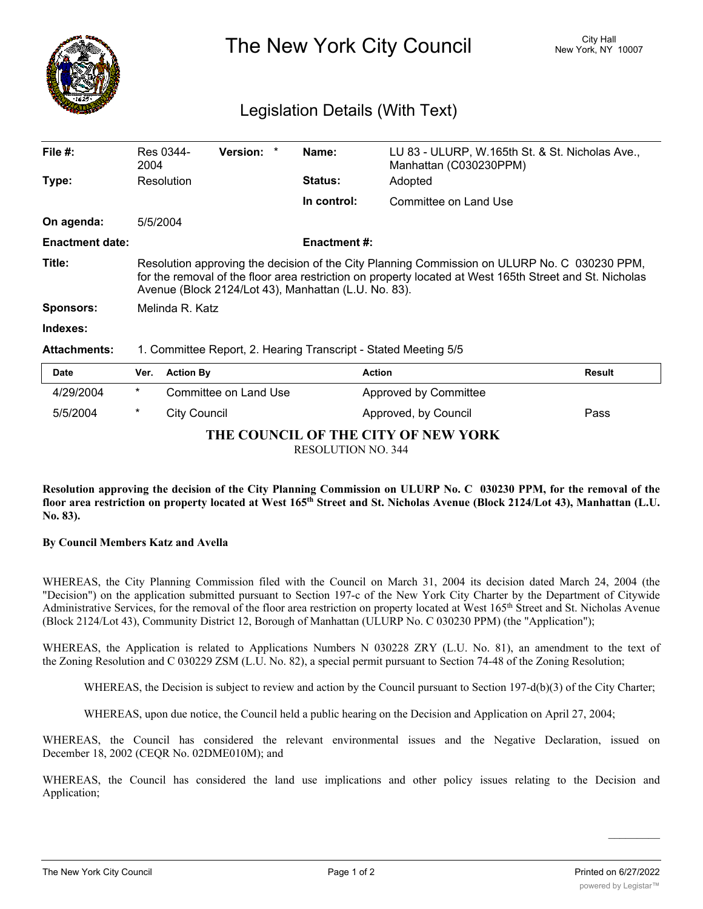

The New York City Council New York, NY 10007

## Legislation Details (With Text)

| File $#$ :             | 2004                                                                                                                                                                                                                                                            | Res 0344-        | Version: *            |  | Name:               | LU 83 - ULURP, W.165th St. & St. Nicholas Ave.,<br>Manhattan (C030230PPM) |               |
|------------------------|-----------------------------------------------------------------------------------------------------------------------------------------------------------------------------------------------------------------------------------------------------------------|------------------|-----------------------|--|---------------------|---------------------------------------------------------------------------|---------------|
| Type:                  |                                                                                                                                                                                                                                                                 | Resolution       |                       |  | <b>Status:</b>      | Adopted                                                                   |               |
|                        |                                                                                                                                                                                                                                                                 |                  |                       |  | In control:         | Committee on Land Use                                                     |               |
| On agenda:             | 5/5/2004                                                                                                                                                                                                                                                        |                  |                       |  |                     |                                                                           |               |
| <b>Enactment date:</b> |                                                                                                                                                                                                                                                                 |                  |                       |  | <b>Enactment #:</b> |                                                                           |               |
| Title:                 | Resolution approving the decision of the City Planning Commission on ULURP No. C 030230 PPM,<br>for the removal of the floor area restriction on property located at West 165th Street and St. Nicholas<br>Avenue (Block 2124/Lot 43), Manhattan (L.U. No. 83). |                  |                       |  |                     |                                                                           |               |
| <b>Sponsors:</b>       |                                                                                                                                                                                                                                                                 | Melinda R. Katz  |                       |  |                     |                                                                           |               |
| Indexes:               |                                                                                                                                                                                                                                                                 |                  |                       |  |                     |                                                                           |               |
| <b>Attachments:</b>    | 1. Committee Report, 2. Hearing Transcript - Stated Meeting 5/5                                                                                                                                                                                                 |                  |                       |  |                     |                                                                           |               |
| <b>Date</b>            | Ver.                                                                                                                                                                                                                                                            | <b>Action By</b> |                       |  |                     | <b>Action</b>                                                             | <b>Result</b> |
| 4/29/2004              | *                                                                                                                                                                                                                                                               |                  | Committee on Land Use |  |                     | Approved by Committee                                                     |               |

**THE COUNCIL OF THE CITY OF NEW YORK** RESOLUTION NO. 344

5/5/2004 \* City Council Approved, by Council Pass

Resolution approving the decision of the City Planning Commission on ULURP No. C 030230 PPM, for the removal of the floor area restriction on property located at West 165<sup>th</sup> Street and St. Nicholas Avenue (Block 2124/Lot 43), Manhattan (L.U. **No. 83).**

## **By Council Members Katz and Avella**

WHEREAS, the City Planning Commission filed with the Council on March 31, 2004 its decision dated March 24, 2004 (the "Decision") on the application submitted pursuant to Section 197-c of the New York City Charter by the Department of Citywide Administrative Services, for the removal of the floor area restriction on property located at West 165th Street and St. Nicholas Avenue (Block 2124/Lot 43), Community District 12, Borough of Manhattan (ULURP No. C 030230 PPM) (the "Application");

WHEREAS, the Application is related to Applications Numbers N 030228 ZRY (L.U. No. 81), an amendment to the text of the Zoning Resolution and C 030229 ZSM (L.U. No. 82), a special permit pursuant to Section 74-48 of the Zoning Resolution;

WHEREAS, the Decision is subject to review and action by the Council pursuant to Section 197-d(b)(3) of the City Charter;

WHEREAS, upon due notice, the Council held a public hearing on the Decision and Application on April 27, 2004;

WHEREAS, the Council has considered the relevant environmental issues and the Negative Declaration, issued on December 18, 2002 (CEQR No. 02DME010M); and

WHEREAS, the Council has considered the land use implications and other policy issues relating to the Decision and Application;